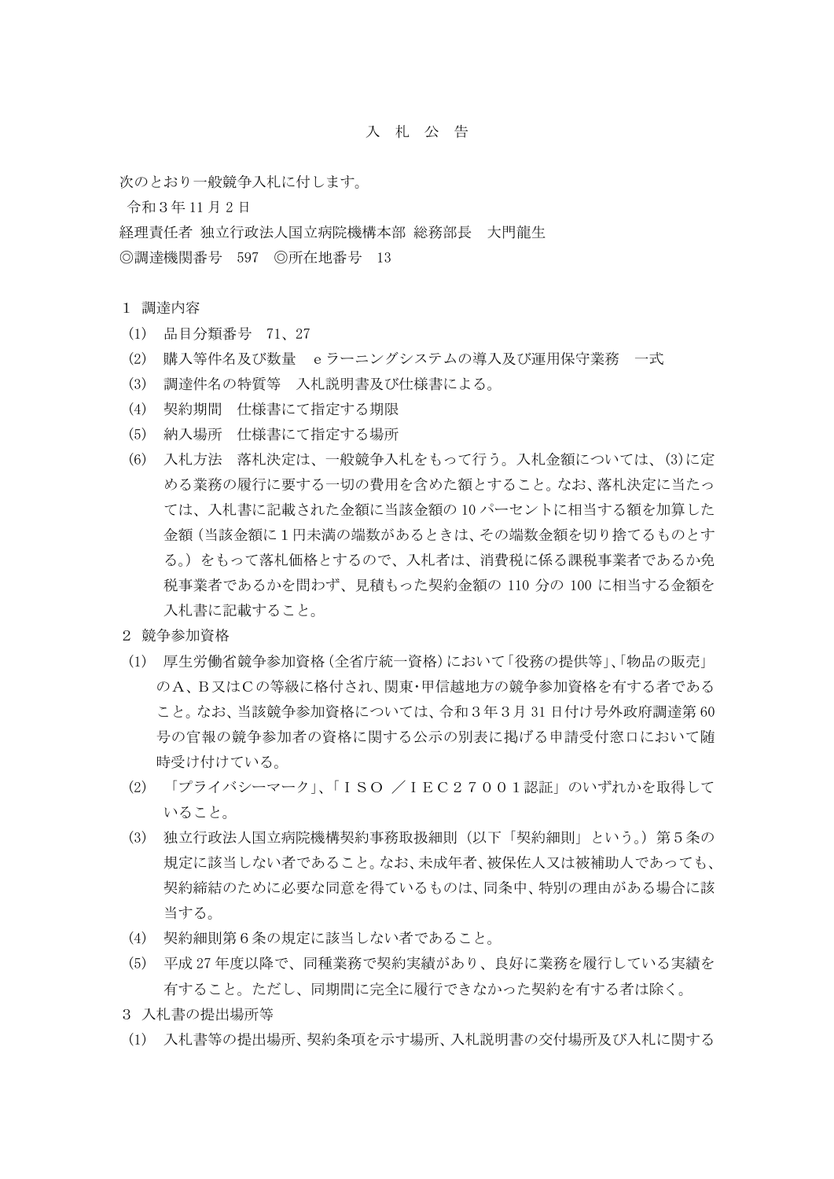## 入 札 公 告

次のとおり一般競争入札に付します。

令和3年 11 月 2 日

経理責任者 独立行政法人国立病院機構本部 総務部長 大門龍生

◎調達機関番号 597 ◎所在地番号 13

1 調達内容

- (1) 品目分類番号 71、27
- (2) 購入等件名及び数量 eラーニングシステムの導入及び運用保守業務 一式
- (3) 調達件名の特質等 入札説明書及び仕様書による。
- (4) 契約期間 仕様書にて指定する期限
- (5) 納入場所 仕様書にて指定する場所
- (6) 入札方法 落札決定は、一般競争入札をもって行う。入札金額については、(3)に定 める業務の履行に要する一切の費用を含めた額とすること。なお、落札決定に当たっ ては、入札書に記載された金額に当該金額の 10 パーセントに相当する額を加算した 金額(当該金額に1円未満の端数があるときは、その端数金額を切り捨てるものとす る。)をもって落札価格とするので、入札者は、消費税に係る課税事業者であるか免 税事業者であるかを問わず、見積もった契約金額の 110 分の 100 に相当する金額を 入札書に記載すること。
- 2 競争参加資格
- (1) 厚生労働省競争参加資格(全省庁統一資格)において「役務の提供等」、「物品の販売」 のA、B又はCの等級に格付され、関東・甲信越地方の競争参加資格を有する者である こと。なお、当該競争参加資格については、令和3年3月 31 日付け号外政府調達第 60 号の官報の競争参加者の資格に関する公示の別表に掲げる申請受付窓口において随 時受け付けている。
- (2) 「プライバシーマーク」、「ISO /IEC27001認証」のいずれかを取得して いること。
- (3) 独立行政法人国立病院機構契約事務取扱細則(以下「契約細則」という。)第5条の 規定に該当しない者であること。なお、未成年者、被保佐人又は被補助人であっても、 契約締結のために必要な同意を得ているものは、同条中、特別の理由がある場合に該 当する。
- (4) 契約細則第6条の規定に該当しない者であること。
- (5) 平成 27 年度以降で、同種業務で契約実績があり、良好に業務を履行している実績を 有すること。ただし、同期間に完全に履行できなかった契約を有する者は除く。
- 3 入札書の提出場所等
- (1) 入札書等の提出場所、契約条項を示す場所、入札説明書の交付場所及び入札に関する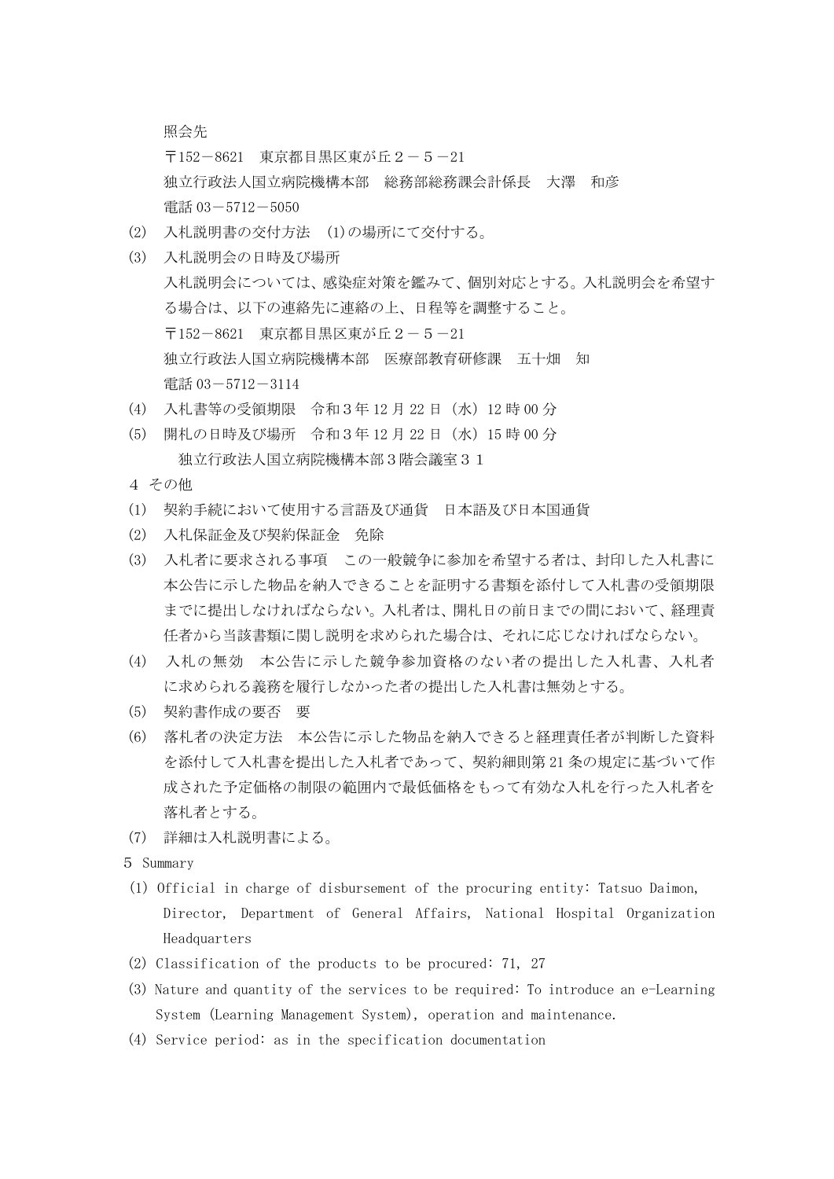照会先

〒152-8621 東京都目黒区東が丘2-5-21 独立行政法人国立病院機構本部 総務部総務課会計係長 大澤 和彦 電話 03-5712-5050

- (2) 入札説明書の交付方法 (1)の場所にて交付する。
- (3) 入札説明会の日時及び場所 入札説明会については、感染症対策を鑑みて、個別対応とする。入札説明会を希望す る場合は、以下の連絡先に連絡の上、日程等を調整すること。 〒152-8621 東京都目黒区東が丘2-5-21 独立行政法人国立病院機構本部 医療部教育研修課 五十畑 知 電話 03-5712-3114
- (4) 入札書等の受領期限 令和3年 12 月 22 日(水)12 時 00 分
- (5) 開札の日時及び場所 令和3年 12 月 22 日(水)15 時 00 分 独立行政法人国立病院機構本部3階会議室31
- 4 その他
- (1) 契約手続において使用する言語及び通貨 日本語及び日本国通貨
- (2) 入札保証金及び契約保証金 免除
- (3) 入札者に要求される事項 この一般競争に参加を希望する者は、封印した入札書に 本公告に示した物品を納入できることを証明する書類を添付して入札書の受領期限 までに提出しなければならない。入札者は、開札日の前日までの間において、経理責 任者から当該書類に関し説明を求められた場合は、それに応じなければならない。
- (4) 入札の無効 本公告に示した競争参加資格のない者の提出した入札書、入札者 に求められる義務を履行しなかった者の提出した入札書は無効とする。
- (5) 契約書作成の要否 要
- (6) 落札者の決定方法 本公告に示した物品を納入できると経理責任者が判断した資料 を添付して入札書を提出した入札者であって、契約細則第 21 条の規定に基づいて作 成された予定価格の制限の範囲内で最低価格をもって有効な入札を行った入札者を 落札者とする。
- (7) 詳細は入札説明書による。

5 Summary

- (1) Official in charge of disbursement of the procuring entity: Tatsuo Daimon, Director, Department of General Affairs, National Hospital Organization Headquarters
- (2) Classification of the products to be procured: 71, 27
- (3) Nature and quantity of the services to be required: To introduce an e-Learning System (Learning Management System), operation and maintenance.
- (4) Service period: as in the specification documentation